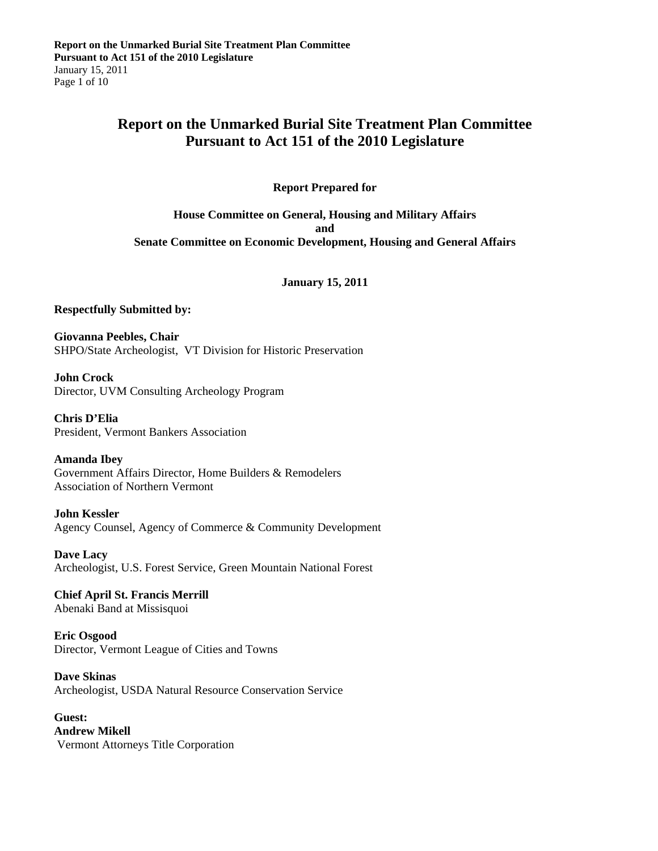## **Report on the Unmarked Burial Site Treatment Plan Committee Pursuant to Act 151 of the 2010 Legislature**

**Report Prepared for** 

**House Committee on General, Housing and Military Affairs and Senate Committee on Economic Development, Housing and General Affairs** 

#### **January 15, 2011**

#### **Respectfully Submitted by:**

**Giovanna Peebles, Chair**  SHPO/State Archeologist, VT Division for Historic Preservation

**John Crock**  Director, UVM Consulting Archeology Program

**Chris D'Elia**  President, Vermont Bankers Association

**Amanda Ibey** 

Government Affairs Director, Home Builders & Remodelers Association of Northern Vermont

**John Kessler**  Agency Counsel, Agency of Commerce & Community Development

**Dave Lacy**  Archeologist, U.S. Forest Service, Green Mountain National Forest

**Chief April St. Francis Merrill**  Abenaki Band at Missisquoi

**Eric Osgood**  Director, Vermont League of Cities and Towns

**Dave Skinas**  Archeologist, USDA Natural Resource Conservation Service

**Guest: Andrew Mikell**  Vermont Attorneys Title Corporation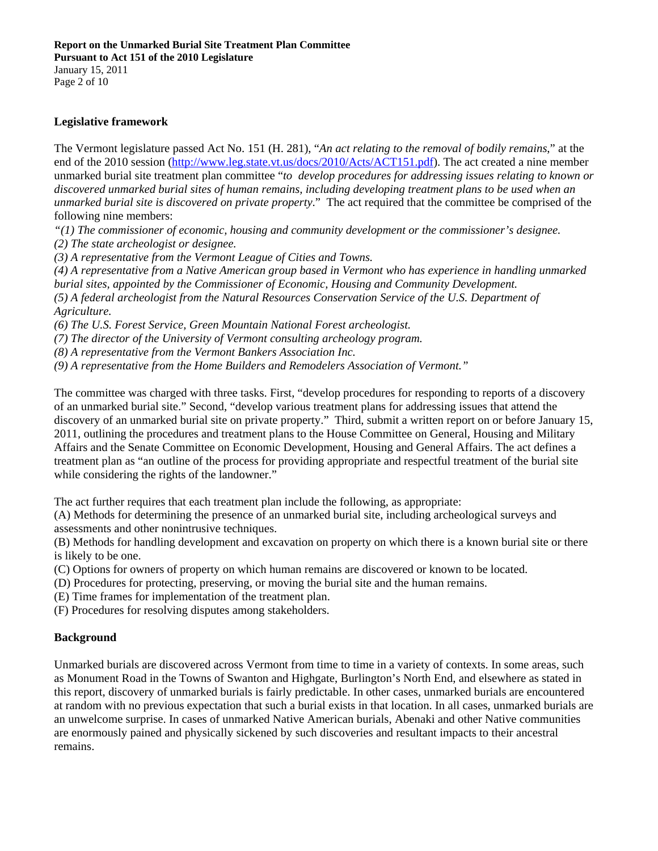January 15, 2011 Page 2 of 10

### **Legislative framework**

The Vermont legislature passed Act No. 151 (H. 281), "*An act relating to the removal of bodily remains*," at the end of the 2010 session (http://www.leg.state.vt.us/docs/2010/Acts/ACT151.pdf). The act created a nine member unmarked burial site treatment plan committee "*to develop procedures for addressing issues relating to known or discovered unmarked burial sites of human remains, including developing treatment plans to be used when an unmarked burial site is discovered on private property*." The act required that the committee be comprised of the following nine members:

*"(1) The commissioner of economic, housing and community development or the commissioner's designee.* 

*(2) The state archeologist or designee.* 

*(3) A representative from the Vermont League of Cities and Towns.* 

*(4) A representative from a Native American group based in Vermont who has experience in handling unmarked burial sites, appointed by the Commissioner of Economic, Housing and Community Development. (5) A federal archeologist from the Natural Resources Conservation Service of the U.S. Department of Agriculture.* 

*(6) The U.S. Forest Service, Green Mountain National Forest archeologist.* 

*(7) The director of the University of Vermont consulting archeology program.* 

*(8) A representative from the Vermont Bankers Association Inc.* 

*(9) A representative from the Home Builders and Remodelers Association of Vermont."* 

The committee was charged with three tasks. First, "develop procedures for responding to reports of a discovery of an unmarked burial site." Second, "develop various treatment plans for addressing issues that attend the discovery of an unmarked burial site on private property." Third, submit a written report on or before January 15, 2011, outlining the procedures and treatment plans to the House Committee on General, Housing and Military Affairs and the Senate Committee on Economic Development, Housing and General Affairs. The act defines a treatment plan as "an outline of the process for providing appropriate and respectful treatment of the burial site while considering the rights of the landowner."

The act further requires that each treatment plan include the following, as appropriate:

(A) Methods for determining the presence of an unmarked burial site, including archeological surveys and assessments and other nonintrusive techniques.

(B) Methods for handling development and excavation on property on which there is a known burial site or there is likely to be one.

(C) Options for owners of property on which human remains are discovered or known to be located.

(D) Procedures for protecting, preserving, or moving the burial site and the human remains.

(E) Time frames for implementation of the treatment plan.

(F) Procedures for resolving disputes among stakeholders.

#### **Background**

Unmarked burials are discovered across Vermont from time to time in a variety of contexts. In some areas, such as Monument Road in the Towns of Swanton and Highgate, Burlington's North End, and elsewhere as stated in this report, discovery of unmarked burials is fairly predictable. In other cases, unmarked burials are encountered at random with no previous expectation that such a burial exists in that location. In all cases, unmarked burials are an unwelcome surprise. In cases of unmarked Native American burials, Abenaki and other Native communities are enormously pained and physically sickened by such discoveries and resultant impacts to their ancestral remains.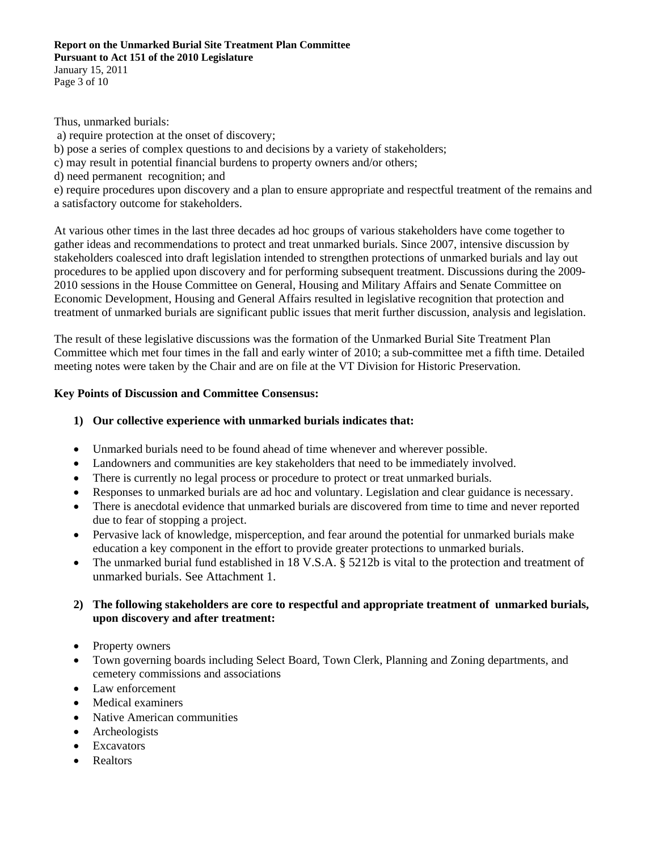## **Report on the Unmarked Burial Site Treatment Plan Committee**

**Pursuant to Act 151 of the 2010 Legislature**  January 15, 2011

Page 3 of 10

Thus, unmarked burials:

 a) require protection at the onset of discovery; b) pose a series of complex questions to and decisions by a variety of stakeholders; c) may result in potential financial burdens to property owners and/or others; d) need permanent recognition; and e) require procedures upon discovery and a plan to ensure appropriate and respectful treatment of the remains and a satisfactory outcome for stakeholders.

At various other times in the last three decades ad hoc groups of various stakeholders have come together to gather ideas and recommendations to protect and treat unmarked burials. Since 2007, intensive discussion by stakeholders coalesced into draft legislation intended to strengthen protections of unmarked burials and lay out procedures to be applied upon discovery and for performing subsequent treatment. Discussions during the 2009- 2010 sessions in the House Committee on General, Housing and Military Affairs and Senate Committee on Economic Development, Housing and General Affairs resulted in legislative recognition that protection and treatment of unmarked burials are significant public issues that merit further discussion, analysis and legislation.

The result of these legislative discussions was the formation of the Unmarked Burial Site Treatment Plan Committee which met four times in the fall and early winter of 2010; a sub-committee met a fifth time. Detailed meeting notes were taken by the Chair and are on file at the VT Division for Historic Preservation.

## **Key Points of Discussion and Committee Consensus:**

## **1) Our collective experience with unmarked burials indicates that:**

- Unmarked burials need to be found ahead of time whenever and wherever possible.
- Landowners and communities are key stakeholders that need to be immediately involved.
- There is currently no legal process or procedure to protect or treat unmarked burials.
- Responses to unmarked burials are ad hoc and voluntary. Legislation and clear guidance is necessary.
- There is anecdotal evidence that unmarked burials are discovered from time to time and never reported due to fear of stopping a project.
- Pervasive lack of knowledge, misperception, and fear around the potential for unmarked burials make education a key component in the effort to provide greater protections to unmarked burials.
- The unmarked burial fund established in 18 V.S.A. § 5212b is vital to the protection and treatment of unmarked burials. See Attachment 1.

## **2) The following stakeholders are core to respectful and appropriate treatment of unmarked burials, upon discovery and after treatment:**

- Property owners
- Town governing boards including Select Board, Town Clerk, Planning and Zoning departments, and cemetery commissions and associations
- Law enforcement
- Medical examiners
- Native American communities
- Archeologists
- Excavators
- **Realtors**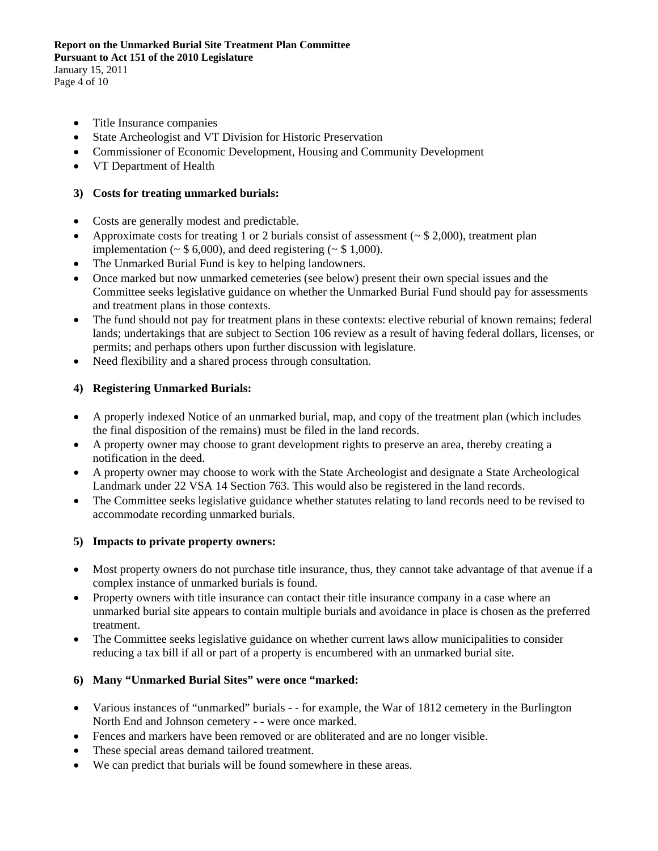## **Report on the Unmarked Burial Site Treatment Plan Committee**

**Pursuant to Act 151 of the 2010 Legislature** 

January 15, 2011 Page 4 of 10

- Title Insurance companies
- State Archeologist and VT Division for Historic Preservation
- Commissioner of Economic Development, Housing and Community Development
- VT Department of Health

## **3) Costs for treating unmarked burials:**

- Costs are generally modest and predictable.
- Approximate costs for treating 1 or 2 burials consist of assessment ( $\sim$  \$ 2,000), treatment plan implementation ( $\sim$  \$ 6,000), and deed registering ( $\sim$  \$ 1,000).
- The Unmarked Burial Fund is key to helping landowners.
- Once marked but now unmarked cemeteries (see below) present their own special issues and the Committee seeks legislative guidance on whether the Unmarked Burial Fund should pay for assessments and treatment plans in those contexts.
- The fund should not pay for treatment plans in these contexts: elective reburial of known remains; federal lands; undertakings that are subject to Section 106 review as a result of having federal dollars, licenses, or permits; and perhaps others upon further discussion with legislature.
- Need flexibility and a shared process through consultation.

## **4) Registering Unmarked Burials:**

- A properly indexed Notice of an unmarked burial, map, and copy of the treatment plan (which includes the final disposition of the remains) must be filed in the land records.
- A property owner may choose to grant development rights to preserve an area, thereby creating a notification in the deed.
- A property owner may choose to work with the State Archeologist and designate a State Archeological Landmark under 22 VSA 14 Section 763. This would also be registered in the land records.
- The Committee seeks legislative guidance whether statutes relating to land records need to be revised to accommodate recording unmarked burials.

## **5) Impacts to private property owners:**

- Most property owners do not purchase title insurance, thus, they cannot take advantage of that avenue if a complex instance of unmarked burials is found.
- Property owners with title insurance can contact their title insurance company in a case where an unmarked burial site appears to contain multiple burials and avoidance in place is chosen as the preferred treatment.
- The Committee seeks legislative guidance on whether current laws allow municipalities to consider reducing a tax bill if all or part of a property is encumbered with an unmarked burial site.

## **6) Many "Unmarked Burial Sites" were once "marked:**

- Various instances of "unmarked" burials - for example, the War of 1812 cemetery in the Burlington North End and Johnson cemetery - - were once marked.
- Fences and markers have been removed or are obliterated and are no longer visible.
- These special areas demand tailored treatment.
- We can predict that burials will be found somewhere in these areas.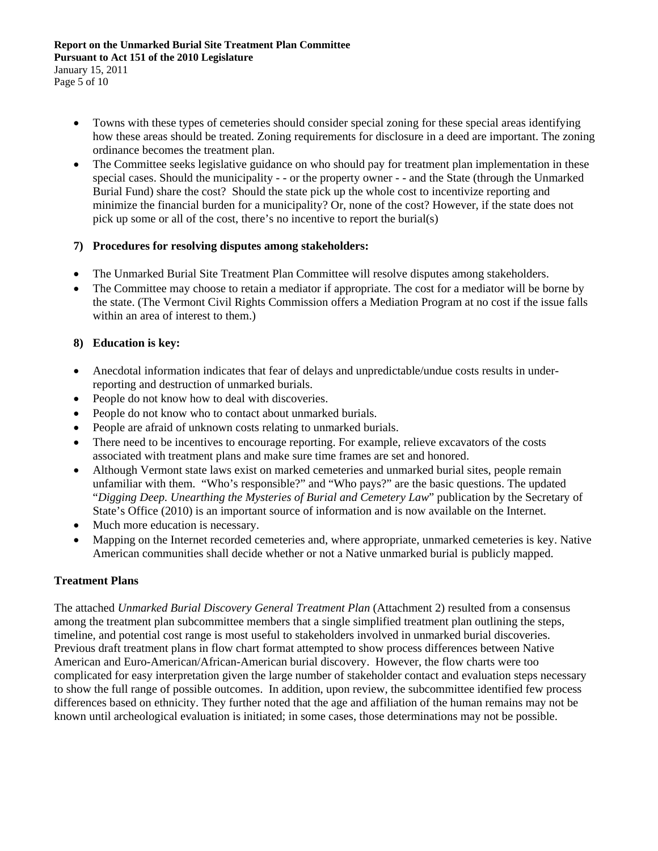January 15, 2011 Page 5 of 10

- Towns with these types of cemeteries should consider special zoning for these special areas identifying how these areas should be treated. Zoning requirements for disclosure in a deed are important. The zoning ordinance becomes the treatment plan.
- The Committee seeks legislative guidance on who should pay for treatment plan implementation in these special cases. Should the municipality - - or the property owner - - and the State (through the Unmarked Burial Fund) share the cost? Should the state pick up the whole cost to incentivize reporting and minimize the financial burden for a municipality? Or, none of the cost? However, if the state does not pick up some or all of the cost, there's no incentive to report the burial(s)

## **7) Procedures for resolving disputes among stakeholders:**

- The Unmarked Burial Site Treatment Plan Committee will resolve disputes among stakeholders.
- The Committee may choose to retain a mediator if appropriate. The cost for a mediator will be borne by the state. (The Vermont Civil Rights Commission offers a Mediation Program at no cost if the issue falls within an area of interest to them.)

## **8) Education is key:**

- Anecdotal information indicates that fear of delays and unpredictable/undue costs results in underreporting and destruction of unmarked burials.
- People do not know how to deal with discoveries.
- People do not know who to contact about unmarked burials.
- People are afraid of unknown costs relating to unmarked burials.
- There need to be incentives to encourage reporting. For example, relieve excavators of the costs associated with treatment plans and make sure time frames are set and honored.
- Although Vermont state laws exist on marked cemeteries and unmarked burial sites, people remain unfamiliar with them. "Who's responsible?" and "Who pays?" are the basic questions. The updated "*Digging Deep. Unearthing the Mysteries of Burial and Cemetery Law*" publication by the Secretary of State's Office (2010) is an important source of information and is now available on the Internet.
- Much more education is necessary.
- Mapping on the Internet recorded cemeteries and, where appropriate, unmarked cemeteries is key. Native American communities shall decide whether or not a Native unmarked burial is publicly mapped.

## **Treatment Plans**

The attached *Unmarked Burial Discovery General Treatment Plan* (Attachment 2) resulted from a consensus among the treatment plan subcommittee members that a single simplified treatment plan outlining the steps, timeline, and potential cost range is most useful to stakeholders involved in unmarked burial discoveries. Previous draft treatment plans in flow chart format attempted to show process differences between Native American and Euro-American/African-American burial discovery. However, the flow charts were too complicated for easy interpretation given the large number of stakeholder contact and evaluation steps necessary to show the full range of possible outcomes. In addition, upon review, the subcommittee identified few process differences based on ethnicity. They further noted that the age and affiliation of the human remains may not be known until archeological evaluation is initiated; in some cases, those determinations may not be possible.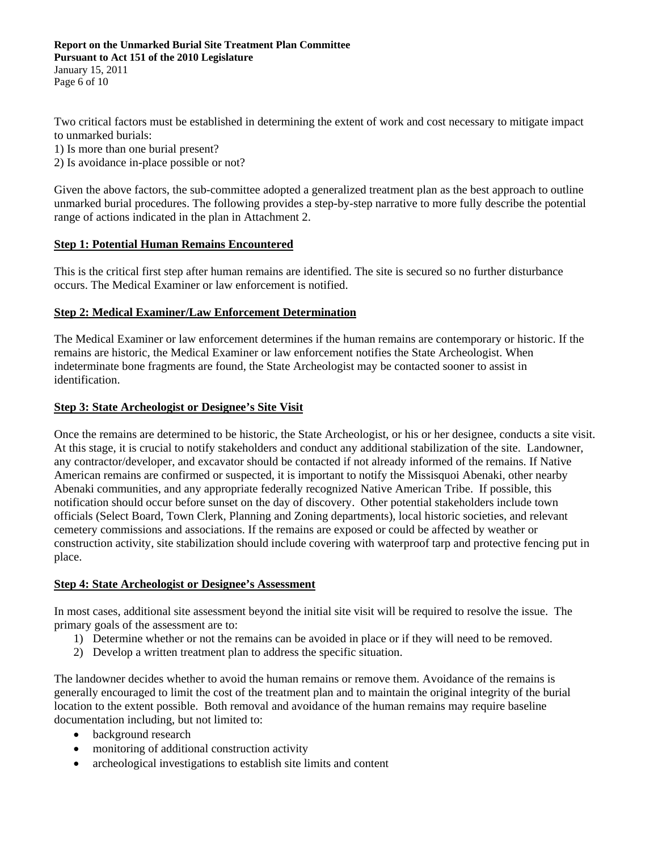#### **Report on the Unmarked Burial Site Treatment Plan Committee Pursuant to Act 151 of the 2010 Legislature**  January 15, 2011

Page 6 of 10

Two critical factors must be established in determining the extent of work and cost necessary to mitigate impact to unmarked burials:

1) Is more than one burial present?

2) Is avoidance in-place possible or not?

Given the above factors, the sub-committee adopted a generalized treatment plan as the best approach to outline unmarked burial procedures. The following provides a step-by-step narrative to more fully describe the potential range of actions indicated in the plan in Attachment 2.

#### **Step 1: Potential Human Remains Encountered**

This is the critical first step after human remains are identified. The site is secured so no further disturbance occurs. The Medical Examiner or law enforcement is notified.

#### **Step 2: Medical Examiner/Law Enforcement Determination**

The Medical Examiner or law enforcement determines if the human remains are contemporary or historic. If the remains are historic, the Medical Examiner or law enforcement notifies the State Archeologist. When indeterminate bone fragments are found, the State Archeologist may be contacted sooner to assist in identification.

#### **Step 3: State Archeologist or Designee's Site Visit**

Once the remains are determined to be historic, the State Archeologist, or his or her designee, conducts a site visit. At this stage, it is crucial to notify stakeholders and conduct any additional stabilization of the site. Landowner, any contractor/developer, and excavator should be contacted if not already informed of the remains. If Native American remains are confirmed or suspected, it is important to notify the Missisquoi Abenaki, other nearby Abenaki communities, and any appropriate federally recognized Native American Tribe. If possible, this notification should occur before sunset on the day of discovery. Other potential stakeholders include town officials (Select Board, Town Clerk, Planning and Zoning departments), local historic societies, and relevant cemetery commissions and associations. If the remains are exposed or could be affected by weather or construction activity, site stabilization should include covering with waterproof tarp and protective fencing put in place.

#### **Step 4: State Archeologist or Designee's Assessment**

In most cases, additional site assessment beyond the initial site visit will be required to resolve the issue. The primary goals of the assessment are to:

- 1) Determine whether or not the remains can be avoided in place or if they will need to be removed.
- 2) Develop a written treatment plan to address the specific situation.

The landowner decides whether to avoid the human remains or remove them. Avoidance of the remains is generally encouraged to limit the cost of the treatment plan and to maintain the original integrity of the burial location to the extent possible. Both removal and avoidance of the human remains may require baseline documentation including, but not limited to:

- background research
- monitoring of additional construction activity
- archeological investigations to establish site limits and content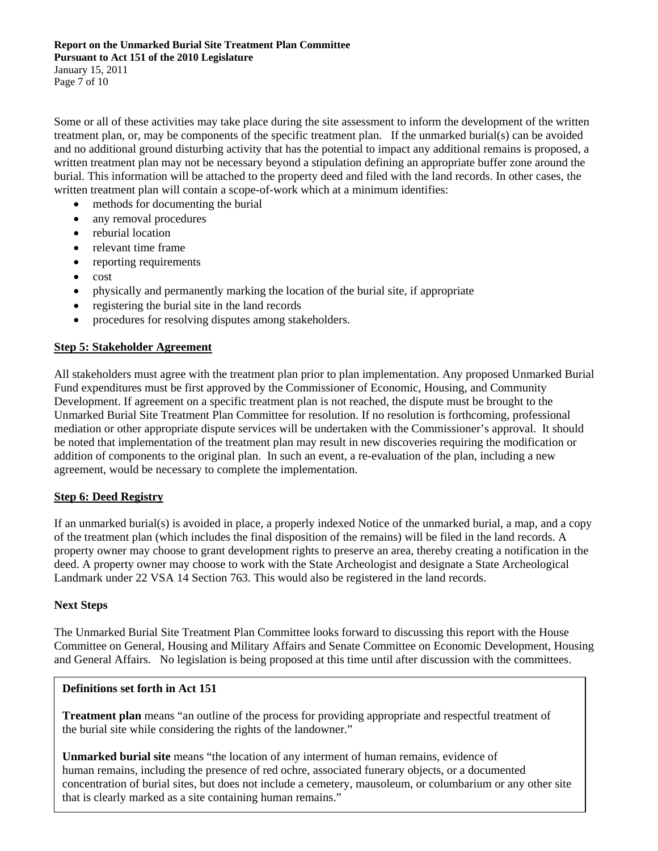Page 7 of 10

Some or all of these activities may take place during the site assessment to inform the development of the written treatment plan, or, may be components of the specific treatment plan. If the unmarked burial(s) can be avoided and no additional ground disturbing activity that has the potential to impact any additional remains is proposed, a written treatment plan may not be necessary beyond a stipulation defining an appropriate buffer zone around the burial. This information will be attached to the property deed and filed with the land records. In other cases, the written treatment plan will contain a scope-of-work which at a minimum identifies:

- methods for documenting the burial
- any removal procedures
- reburial location
- relevant time frame
- reporting requirements
- cost
- physically and permanently marking the location of the burial site, if appropriate
- registering the burial site in the land records
- procedures for resolving disputes among stakeholders.

#### **Step 5: Stakeholder Agreement**

All stakeholders must agree with the treatment plan prior to plan implementation. Any proposed Unmarked Burial Fund expenditures must be first approved by the Commissioner of Economic, Housing, and Community Development. If agreement on a specific treatment plan is not reached, the dispute must be brought to the Unmarked Burial Site Treatment Plan Committee for resolution. If no resolution is forthcoming, professional mediation or other appropriate dispute services will be undertaken with the Commissioner's approval. It should be noted that implementation of the treatment plan may result in new discoveries requiring the modification or addition of components to the original plan. In such an event, a re-evaluation of the plan, including a new agreement, would be necessary to complete the implementation.

#### **Step 6: Deed Registry**

If an unmarked burial(s) is avoided in place, a properly indexed Notice of the unmarked burial, a map, and a copy of the treatment plan (which includes the final disposition of the remains) will be filed in the land records. A property owner may choose to grant development rights to preserve an area, thereby creating a notification in the deed. A property owner may choose to work with the State Archeologist and designate a State Archeological Landmark under 22 VSA 14 Section 763. This would also be registered in the land records.

#### **Next Steps**

The Unmarked Burial Site Treatment Plan Committee looks forward to discussing this report with the House Committee on General, Housing and Military Affairs and Senate Committee on Economic Development, Housing and General Affairs. No legislation is being proposed at this time until after discussion with the committees.

#### **Definitions set forth in Act 151**

**Treatment plan** means "an outline of the process for providing appropriate and respectful treatment of the burial site while considering the rights of the landowner."

**Unmarked burial site** means "the location of any interment of human remains, evidence of human remains, including the presence of red ochre, associated funerary objects, or a documented concentration of burial sites, but does not include a cemetery, mausoleum, or columbarium or any other site that is clearly marked as a site containing human remains."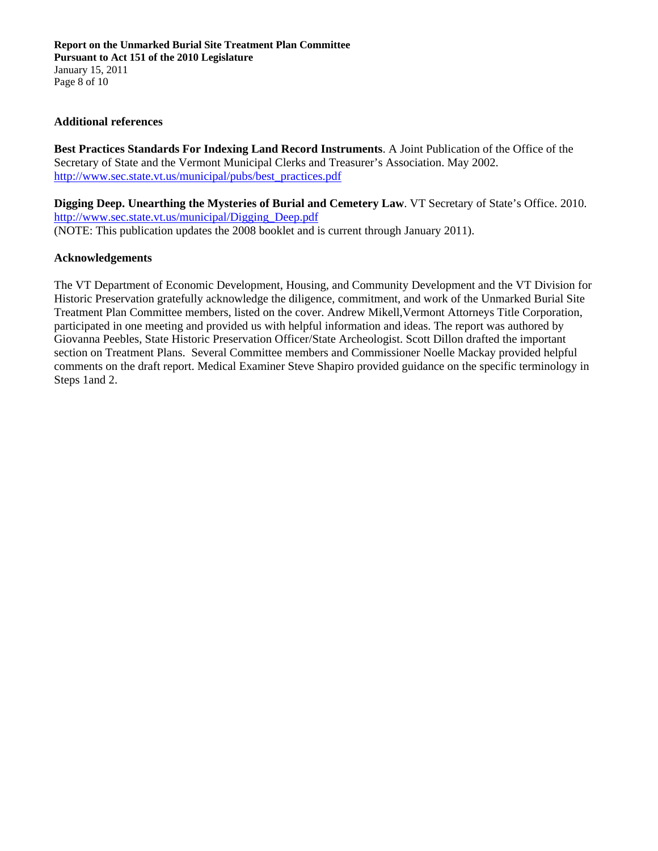#### **Additional references**

**Best Practices Standards For Indexing Land Record Instruments**. A Joint Publication of the Office of the Secretary of State and the Vermont Municipal Clerks and Treasurer's Association. May 2002. http://www.sec.state.vt.us/municipal/pubs/best\_practices.pdf

**Digging Deep. Unearthing the Mysteries of Burial and Cemetery Law**. VT Secretary of State's Office. 2010. http://www.sec.state.vt.us/municipal/Digging\_Deep.pdf (NOTE: This publication updates the 2008 booklet and is current through January 2011).

#### **Acknowledgements**

The VT Department of Economic Development, Housing, and Community Development and the VT Division for Historic Preservation gratefully acknowledge the diligence, commitment, and work of the Unmarked Burial Site Treatment Plan Committee members, listed on the cover. Andrew Mikell,Vermont Attorneys Title Corporation, participated in one meeting and provided us with helpful information and ideas. The report was authored by Giovanna Peebles, State Historic Preservation Officer/State Archeologist. Scott Dillon drafted the important section on Treatment Plans. Several Committee members and Commissioner Noelle Mackay provided helpful comments on the draft report. Medical Examiner Steve Shapiro provided guidance on the specific terminology in Steps 1and 2.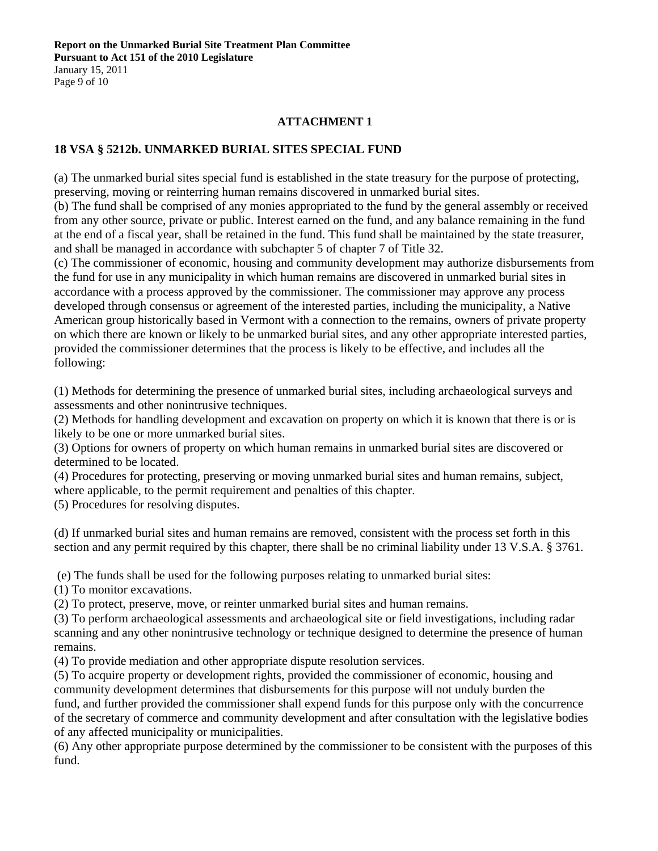**Report on the Unmarked Burial Site Treatment Plan Committee Pursuant to Act 151 of the 2010 Legislature**  January 15, 2011 Page 9 of 10

#### **ATTACHMENT 1**

### **18 VSA § 5212b. UNMARKED BURIAL SITES SPECIAL FUND**

(a) The unmarked burial sites special fund is established in the state treasury for the purpose of protecting, preserving, moving or reinterring human remains discovered in unmarked burial sites.

(b) The fund shall be comprised of any monies appropriated to the fund by the general assembly or received from any other source, private or public. Interest earned on the fund, and any balance remaining in the fund at the end of a fiscal year, shall be retained in the fund. This fund shall be maintained by the state treasurer, and shall be managed in accordance with subchapter 5 of chapter 7 of Title 32.

(c) The commissioner of economic, housing and community development may authorize disbursements from the fund for use in any municipality in which human remains are discovered in unmarked burial sites in accordance with a process approved by the commissioner. The commissioner may approve any process developed through consensus or agreement of the interested parties, including the municipality, a Native American group historically based in Vermont with a connection to the remains, owners of private property on which there are known or likely to be unmarked burial sites, and any other appropriate interested parties, provided the commissioner determines that the process is likely to be effective, and includes all the following:

(1) Methods for determining the presence of unmarked burial sites, including archaeological surveys and assessments and other nonintrusive techniques.

(2) Methods for handling development and excavation on property on which it is known that there is or is likely to be one or more unmarked burial sites.

(3) Options for owners of property on which human remains in unmarked burial sites are discovered or determined to be located.

(4) Procedures for protecting, preserving or moving unmarked burial sites and human remains, subject, where applicable, to the permit requirement and penalties of this chapter.

(5) Procedures for resolving disputes.

(d) If unmarked burial sites and human remains are removed, consistent with the process set forth in this section and any permit required by this chapter, there shall be no criminal liability under 13 V.S.A. § 3761.

(e) The funds shall be used for the following purposes relating to unmarked burial sites:

(1) To monitor excavations.

(2) To protect, preserve, move, or reinter unmarked burial sites and human remains.

(3) To perform archaeological assessments and archaeological site or field investigations, including radar scanning and any other nonintrusive technology or technique designed to determine the presence of human remains.

(4) To provide mediation and other appropriate dispute resolution services.

(5) To acquire property or development rights, provided the commissioner of economic, housing and community development determines that disbursements for this purpose will not unduly burden the fund, and further provided the commissioner shall expend funds for this purpose only with the concurrence of the secretary of commerce and community development and after consultation with the legislative bodies of any affected municipality or municipalities.

(6) Any other appropriate purpose determined by the commissioner to be consistent with the purposes of this fund.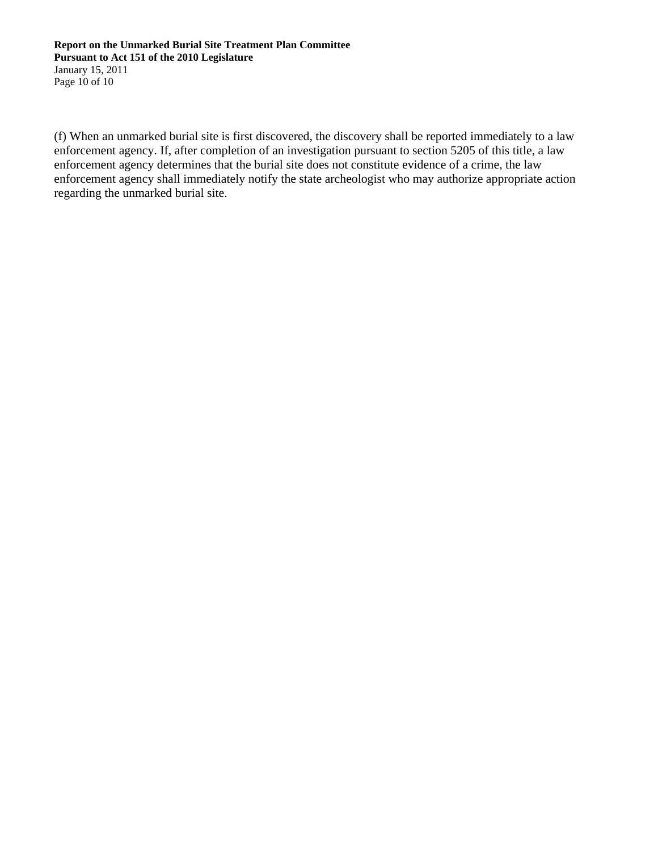#### **Report on the Unmarked Burial Site Treatment Plan Committee Pursuant to Act 151 of the 2010 Legislature**  January 15, 2011 Page 10 of 10

(f) When an unmarked burial site is first discovered, the discovery shall be reported immediately to a law enforcement agency. If, after completion of an investigation pursuant to section 5205 of this title, a law enforcement agency determines that the burial site does not constitute evidence of a crime, the law enforcement agency shall immediately notify the state archeologist who may authorize appropriate action regarding the unmarked burial site.